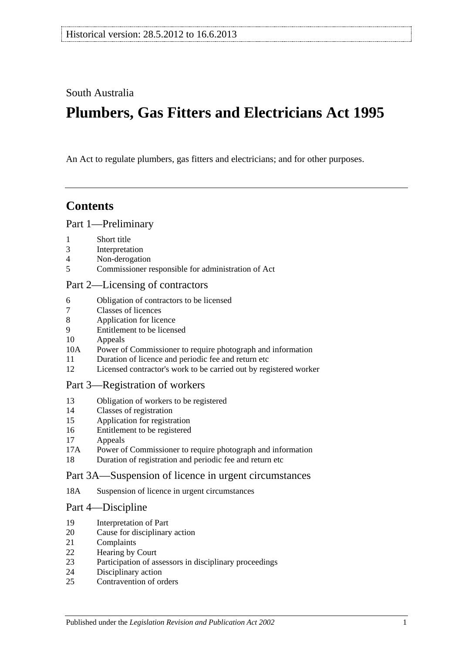South Australia

# **Plumbers, Gas Fitters and Electricians Act 1995**

An Act to regulate plumbers, gas fitters and electricians; and for other purposes.

# **Contents**

#### [Part 1—Preliminary](#page-1-0)

- [Short title](#page-1-1)
- [Interpretation](#page-1-2)
- [Non-derogation](#page-3-0)
- [Commissioner responsible for administration of Act](#page-3-1)

#### [Part 2—Licensing of contractors](#page-3-2)

- [Obligation of contractors to be licensed](#page-3-3)<br>7 Classes of licences
- [Classes of licences](#page-4-0)
- [Application for licence](#page-4-1)
- [Entitlement to be licensed](#page-5-0)
- [Appeals](#page-6-0)
- 10A [Power of Commissioner to require photograph and information](#page-7-0)
- [Duration of licence and periodic fee and return etc](#page-7-1)
- [Licensed contractor's work to be carried out by registered worker](#page-7-2)

#### [Part 3—Registration of workers](#page-8-0)

- [Obligation of workers to be registered](#page-8-1)
- [Classes of registration](#page-8-2)
- [Application for registration](#page-9-0)
- [Entitlement to be registered](#page-9-1)
- [Appeals](#page-9-2)
- 17A [Power of Commissioner to require photograph and information](#page-10-0)
- [Duration of registration and periodic fee and return etc](#page-10-1)

#### [Part 3A—Suspension of licence in urgent circumstances](#page-11-0)

18A [Suspension of licence in urgent circumstances](#page-11-1)

#### [Part 4—Discipline](#page-12-0)

- [Interpretation of Part](#page-12-1)
- [Cause for disciplinary action](#page-12-2)
- [Complaints](#page-13-0)
- [Hearing by Court](#page-13-1)
- [Participation of assessors in disciplinary proceedings](#page-13-2)
- [Disciplinary action](#page-13-3)
- [Contravention of orders](#page-14-0)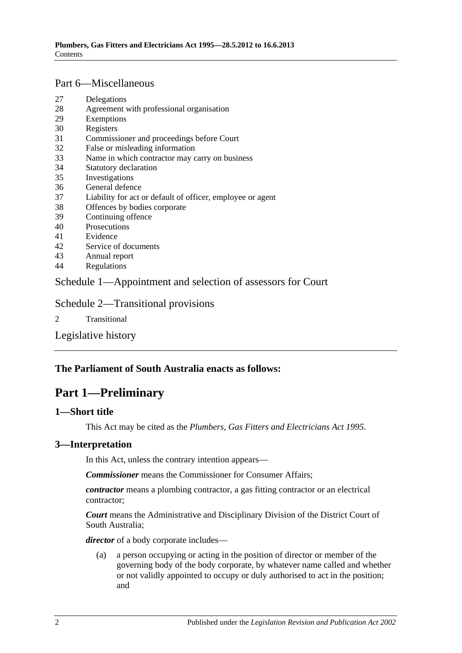## [Part 6—Miscellaneous](#page-14-1)

- 27 [Delegations](#page-14-2)
- 28 [Agreement with professional organisation](#page-15-0)
- 29 [Exemptions](#page-15-1)
- 30 [Registers](#page-15-2)
- 31 [Commissioner and proceedings before Court](#page-16-0)
- 32 [False or misleading information](#page-16-1)
- 33 [Name in which contractor may carry on business](#page-16-2)
- 34 [Statutory declaration](#page-17-0)
- 35 [Investigations](#page-17-1)
- 36 [General defence](#page-17-2)
- 37 [Liability for act or default of officer, employee or agent](#page-17-3)
- 38 [Offences by bodies corporate](#page-17-4)
- 39 [Continuing offence](#page-17-5)
- 40 [Prosecutions](#page-18-0)
- 41 [Evidence](#page-18-1)
- 42 [Service of documents](#page-18-2)
- 43 [Annual report](#page-19-0)
- 44 [Regulations](#page-19-1)

## [Schedule 1—Appointment and selection of assessors for Court](#page-19-2)

## [Schedule 2—Transitional provisions](#page-20-0)

2 [Transitional](#page-20-1)

[Legislative history](#page-22-0)

## <span id="page-1-0"></span>**The Parliament of South Australia enacts as follows:**

# **Part 1—Preliminary**

#### <span id="page-1-1"></span>**1—Short title**

This Act may be cited as the *Plumbers, Gas Fitters and Electricians Act 1995*.

#### <span id="page-1-2"></span>**3—Interpretation**

In this Act, unless the contrary intention appears—

*Commissioner* means the Commissioner for Consumer Affairs;

*contractor* means a plumbing contractor, a gas fitting contractor or an electrical contractor;

*Court* means the Administrative and Disciplinary Division of the District Court of South Australia;

*director* of a body corporate includes—

(a) a person occupying or acting in the position of director or member of the governing body of the body corporate, by whatever name called and whether or not validly appointed to occupy or duly authorised to act in the position; and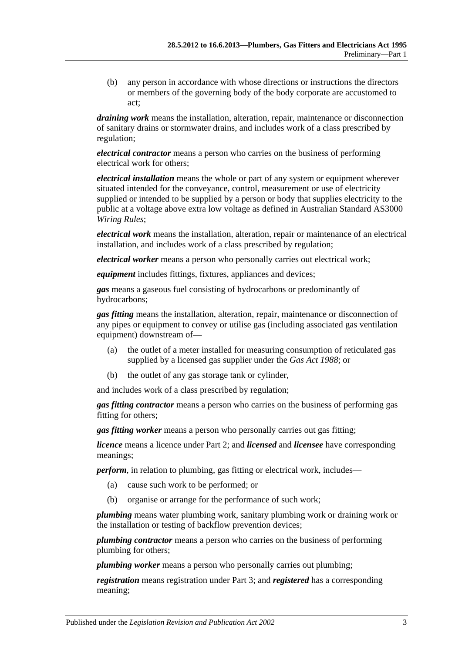(b) any person in accordance with whose directions or instructions the directors or members of the governing body of the body corporate are accustomed to act;

*draining work* means the installation, alteration, repair, maintenance or disconnection of sanitary drains or stormwater drains, and includes work of a class prescribed by regulation;

*electrical contractor* means a person who carries on the business of performing electrical work for others;

*electrical installation* means the whole or part of any system or equipment wherever situated intended for the conveyance, control, measurement or use of electricity supplied or intended to be supplied by a person or body that supplies electricity to the public at a voltage above extra low voltage as defined in Australian Standard AS3000 *Wiring Rules*;

*electrical work* means the installation, alteration, repair or maintenance of an electrical installation, and includes work of a class prescribed by regulation;

*electrical worker* means a person who personally carries out electrical work;

*equipment* includes fittings, fixtures, appliances and devices;

*gas* means a gaseous fuel consisting of hydrocarbons or predominantly of hydrocarbons;

*gas fitting* means the installation, alteration, repair, maintenance or disconnection of any pipes or equipment to convey or utilise gas (including associated gas ventilation equipment) downstream of—

- (a) the outlet of a meter installed for measuring consumption of reticulated gas supplied by a licensed gas supplier under the *[Gas Act](http://www.legislation.sa.gov.au/index.aspx?action=legref&type=act&legtitle=Gas%20Act%201988) 1988*; or
- (b) the outlet of any gas storage tank or cylinder,

and includes work of a class prescribed by regulation;

*gas fitting contractor* means a person who carries on the business of performing gas fitting for others;

*gas fitting worker* means a person who personally carries out gas fitting;

*licence* means a licence under [Part 2;](#page-3-2) and *licensed* and *licensee* have corresponding meanings;

*perform*, in relation to plumbing, gas fitting or electrical work, includes—

- (a) cause such work to be performed; or
- (b) organise or arrange for the performance of such work;

*plumbing* means water plumbing work, sanitary plumbing work or draining work or the installation or testing of backflow prevention devices;

*plumbing contractor* means a person who carries on the business of performing plumbing for others;

*plumbing worker* means a person who personally carries out plumbing;

*registration* means registration under [Part 3;](#page-8-0) and *registered* has a corresponding meaning;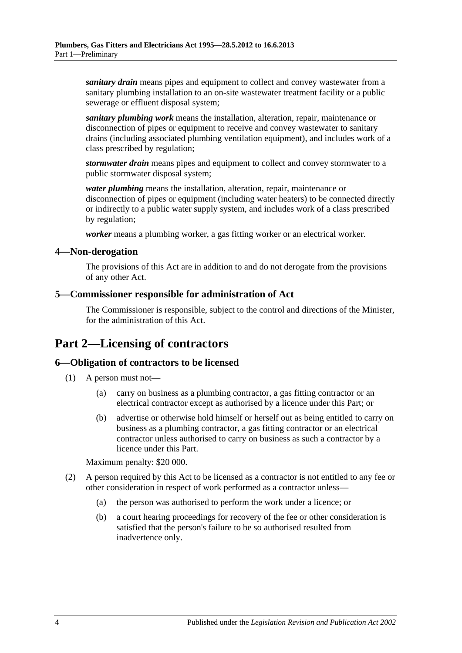*sanitary drain* means pipes and equipment to collect and convey wastewater from a sanitary plumbing installation to an on-site wastewater treatment facility or a public sewerage or effluent disposal system;

*sanitary plumbing work* means the installation, alteration, repair, maintenance or disconnection of pipes or equipment to receive and convey wastewater to sanitary drains (including associated plumbing ventilation equipment), and includes work of a class prescribed by regulation;

*stormwater drain* means pipes and equipment to collect and convey stormwater to a public stormwater disposal system;

*water plumbing* means the installation, alteration, repair, maintenance or disconnection of pipes or equipment (including water heaters) to be connected directly or indirectly to a public water supply system, and includes work of a class prescribed by regulation;

*worker* means a plumbing worker, a gas fitting worker or an electrical worker.

#### <span id="page-3-0"></span>**4—Non-derogation**

The provisions of this Act are in addition to and do not derogate from the provisions of any other Act.

#### <span id="page-3-1"></span>**5—Commissioner responsible for administration of Act**

The Commissioner is responsible, subject to the control and directions of the Minister, for the administration of this Act.

# <span id="page-3-2"></span>**Part 2—Licensing of contractors**

#### <span id="page-3-3"></span>**6—Obligation of contractors to be licensed**

- (1) A person must not—
	- (a) carry on business as a plumbing contractor, a gas fitting contractor or an electrical contractor except as authorised by a licence under this Part; or
	- (b) advertise or otherwise hold himself or herself out as being entitled to carry on business as a plumbing contractor, a gas fitting contractor or an electrical contractor unless authorised to carry on business as such a contractor by a licence under this Part.

Maximum penalty: \$20 000.

- (2) A person required by this Act to be licensed as a contractor is not entitled to any fee or other consideration in respect of work performed as a contractor unless—
	- (a) the person was authorised to perform the work under a licence; or
	- (b) a court hearing proceedings for recovery of the fee or other consideration is satisfied that the person's failure to be so authorised resulted from inadvertence only.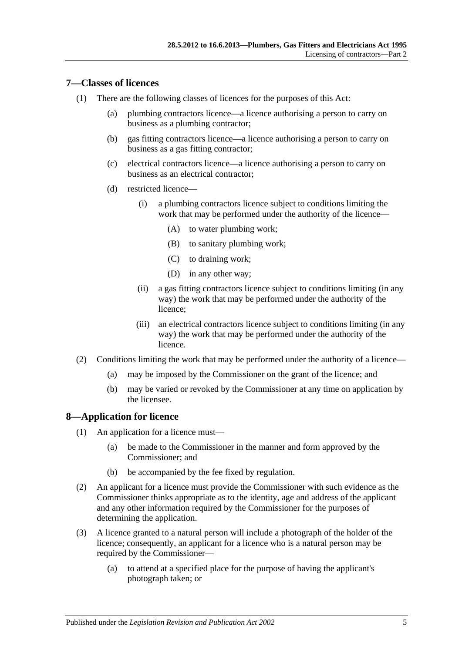#### <span id="page-4-0"></span>**7—Classes of licences**

- (1) There are the following classes of licences for the purposes of this Act:
	- (a) plumbing contractors licence—a licence authorising a person to carry on business as a plumbing contractor;
	- (b) gas fitting contractors licence—a licence authorising a person to carry on business as a gas fitting contractor;
	- (c) electrical contractors licence—a licence authorising a person to carry on business as an electrical contractor;
	- (d) restricted licence—
		- (i) a plumbing contractors licence subject to conditions limiting the work that may be performed under the authority of the licence—
			- (A) to water plumbing work;
			- (B) to sanitary plumbing work;
			- (C) to draining work;
			- (D) in any other way;
		- (ii) a gas fitting contractors licence subject to conditions limiting (in any way) the work that may be performed under the authority of the licence;
		- (iii) an electrical contractors licence subject to conditions limiting (in any way) the work that may be performed under the authority of the licence.
- (2) Conditions limiting the work that may be performed under the authority of a licence—
	- (a) may be imposed by the Commissioner on the grant of the licence; and
	- (b) may be varied or revoked by the Commissioner at any time on application by the licensee.

#### <span id="page-4-1"></span>**8—Application for licence**

- (1) An application for a licence must—
	- (a) be made to the Commissioner in the manner and form approved by the Commissioner; and
	- (b) be accompanied by the fee fixed by regulation.
- (2) An applicant for a licence must provide the Commissioner with such evidence as the Commissioner thinks appropriate as to the identity, age and address of the applicant and any other information required by the Commissioner for the purposes of determining the application.
- (3) A licence granted to a natural person will include a photograph of the holder of the licence; consequently, an applicant for a licence who is a natural person may be required by the Commissioner—
	- (a) to attend at a specified place for the purpose of having the applicant's photograph taken; or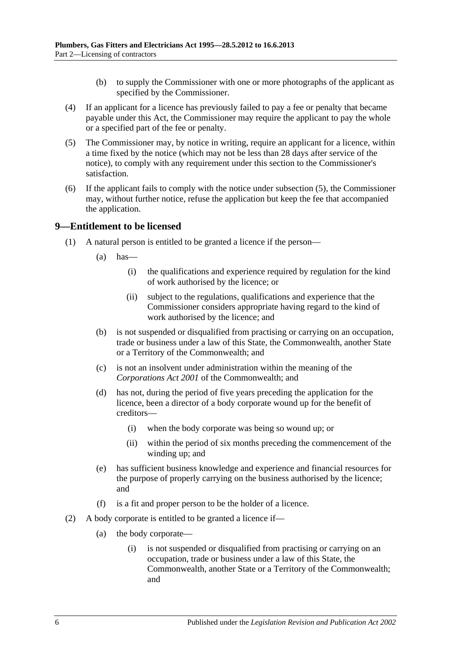- (b) to supply the Commissioner with one or more photographs of the applicant as specified by the Commissioner.
- (4) If an applicant for a licence has previously failed to pay a fee or penalty that became payable under this Act, the Commissioner may require the applicant to pay the whole or a specified part of the fee or penalty.
- <span id="page-5-1"></span>(5) The Commissioner may, by notice in writing, require an applicant for a licence, within a time fixed by the notice (which may not be less than 28 days after service of the notice), to comply with any requirement under this section to the Commissioner's satisfaction.
- (6) If the applicant fails to comply with the notice under [subsection](#page-5-1) (5), the Commissioner may, without further notice, refuse the application but keep the fee that accompanied the application.

#### <span id="page-5-0"></span>**9—Entitlement to be licensed**

- (1) A natural person is entitled to be granted a licence if the person—
	- $(a)$  has
		- (i) the qualifications and experience required by regulation for the kind of work authorised by the licence; or
		- (ii) subject to the regulations, qualifications and experience that the Commissioner considers appropriate having regard to the kind of work authorised by the licence; and
	- (b) is not suspended or disqualified from practising or carrying on an occupation, trade or business under a law of this State, the Commonwealth, another State or a Territory of the Commonwealth; and
	- (c) is not an insolvent under administration within the meaning of the *Corporations Act 2001* of the Commonwealth; and
	- (d) has not, during the period of five years preceding the application for the licence, been a director of a body corporate wound up for the benefit of creditors—
		- (i) when the body corporate was being so wound up; or
		- (ii) within the period of six months preceding the commencement of the winding up; and
	- (e) has sufficient business knowledge and experience and financial resources for the purpose of properly carrying on the business authorised by the licence; and
	- (f) is a fit and proper person to be the holder of a licence.
- (2) A body corporate is entitled to be granted a licence if—
	- (a) the body corporate—
		- (i) is not suspended or disqualified from practising or carrying on an occupation, trade or business under a law of this State, the Commonwealth, another State or a Territory of the Commonwealth; and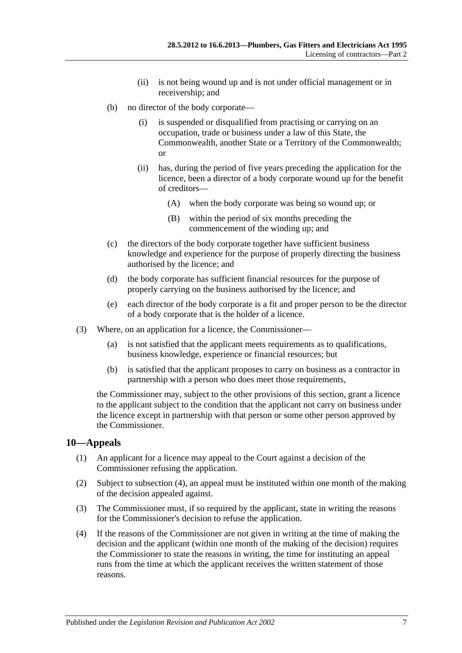- (ii) is not being wound up and is not under official management or in receivership; and
- (b) no director of the body corporate—
	- (i) is suspended or disqualified from practising or carrying on an occupation, trade or business under a law of this State, the Commonwealth, another State or a Territory of the Commonwealth; or
	- (ii) has, during the period of five years preceding the application for the licence, been a director of a body corporate wound up for the benefit of creditors—
		- (A) when the body corporate was being so wound up; or
		- (B) within the period of six months preceding the commencement of the winding up; and
- (c) the directors of the body corporate together have sufficient business knowledge and experience for the purpose of properly directing the business authorised by the licence; and
- (d) the body corporate has sufficient financial resources for the purpose of properly carrying on the business authorised by the licence; and
- (e) each director of the body corporate is a fit and proper person to be the director of a body corporate that is the holder of a licence.
- (3) Where, on an application for a licence, the Commissioner—
	- (a) is not satisfied that the applicant meets requirements as to qualifications, business knowledge, experience or financial resources; but
	- (b) is satisfied that the applicant proposes to carry on business as a contractor in partnership with a person who does meet those requirements,

the Commissioner may, subject to the other provisions of this section, grant a licence to the applicant subject to the condition that the applicant not carry on business under the licence except in partnership with that person or some other person approved by the Commissioner.

#### <span id="page-6-0"></span>**10—Appeals**

- (1) An applicant for a licence may appeal to the Court against a decision of the Commissioner refusing the application.
- (2) Subject to [subsection](#page-6-1) (4), an appeal must be instituted within one month of the making of the decision appealed against.
- (3) The Commissioner must, if so required by the applicant, state in writing the reasons for the Commissioner's decision to refuse the application.
- <span id="page-6-1"></span>(4) If the reasons of the Commissioner are not given in writing at the time of making the decision and the applicant (within one month of the making of the decision) requires the Commissioner to state the reasons in writing, the time for instituting an appeal runs from the time at which the applicant receives the written statement of those reasons.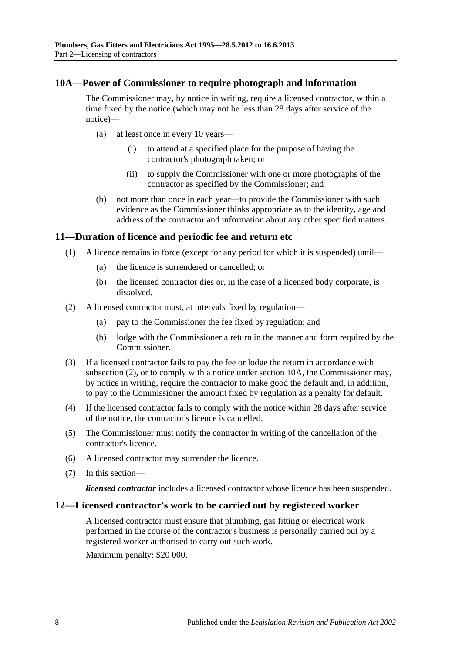#### <span id="page-7-0"></span>**10A—Power of Commissioner to require photograph and information**

The Commissioner may, by notice in writing, require a licensed contractor, within a time fixed by the notice (which may not be less than 28 days after service of the notice)—

- (a) at least once in every 10 years—
	- (i) to attend at a specified place for the purpose of having the contractor's photograph taken; or
	- (ii) to supply the Commissioner with one or more photographs of the contractor as specified by the Commissioner; and
- (b) not more than once in each year—to provide the Commissioner with such evidence as the Commissioner thinks appropriate as to the identity, age and address of the contractor and information about any other specified matters.

#### <span id="page-7-1"></span>**11—Duration of licence and periodic fee and return etc**

- (1) A licence remains in force (except for any period for which it is suspended) until—
	- (a) the licence is surrendered or cancelled; or
	- (b) the licensed contractor dies or, in the case of a licensed body corporate, is dissolved.
- <span id="page-7-3"></span>(2) A licensed contractor must, at intervals fixed by regulation—
	- (a) pay to the Commissioner the fee fixed by regulation; and
	- (b) lodge with the Commissioner a return in the manner and form required by the Commissioner.
- (3) If a licensed contractor fails to pay the fee or lodge the return in accordance with [subsection](#page-7-3) (2), or to comply with a notice under [section](#page-7-0) 10A, the Commissioner may, by notice in writing, require the contractor to make good the default and, in addition, to pay to the Commissioner the amount fixed by regulation as a penalty for default.
- (4) If the licensed contractor fails to comply with the notice within 28 days after service of the notice, the contractor's licence is cancelled.
- (5) The Commissioner must notify the contractor in writing of the cancellation of the contractor's licence.
- (6) A licensed contractor may surrender the licence.
- (7) In this section—

*licensed contractor* includes a licensed contractor whose licence has been suspended.

#### <span id="page-7-2"></span>**12—Licensed contractor's work to be carried out by registered worker**

A licensed contractor must ensure that plumbing, gas fitting or electrical work performed in the course of the contractor's business is personally carried out by a registered worker authorised to carry out such work.

Maximum penalty: \$20 000.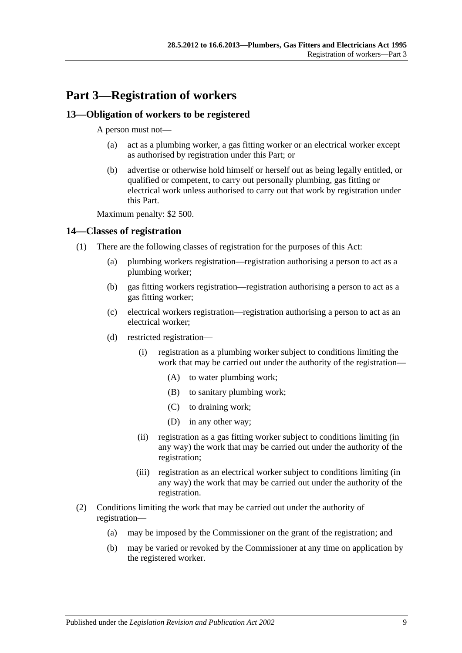# <span id="page-8-0"></span>**Part 3—Registration of workers**

## <span id="page-8-1"></span>**13—Obligation of workers to be registered**

A person must not—

- (a) act as a plumbing worker, a gas fitting worker or an electrical worker except as authorised by registration under this Part; or
- (b) advertise or otherwise hold himself or herself out as being legally entitled, or qualified or competent, to carry out personally plumbing, gas fitting or electrical work unless authorised to carry out that work by registration under this Part.

Maximum penalty: \$2 500.

#### <span id="page-8-2"></span>**14—Classes of registration**

- (1) There are the following classes of registration for the purposes of this Act:
	- (a) plumbing workers registration—registration authorising a person to act as a plumbing worker;
	- (b) gas fitting workers registration—registration authorising a person to act as a gas fitting worker;
	- (c) electrical workers registration—registration authorising a person to act as an electrical worker;
	- (d) restricted registration—
		- (i) registration as a plumbing worker subject to conditions limiting the work that may be carried out under the authority of the registration—
			- (A) to water plumbing work;
			- (B) to sanitary plumbing work;
			- (C) to draining work;
			- (D) in any other way;
		- (ii) registration as a gas fitting worker subject to conditions limiting (in any way) the work that may be carried out under the authority of the registration;
		- (iii) registration as an electrical worker subject to conditions limiting (in any way) the work that may be carried out under the authority of the registration.
- (2) Conditions limiting the work that may be carried out under the authority of registration—
	- (a) may be imposed by the Commissioner on the grant of the registration; and
	- (b) may be varied or revoked by the Commissioner at any time on application by the registered worker.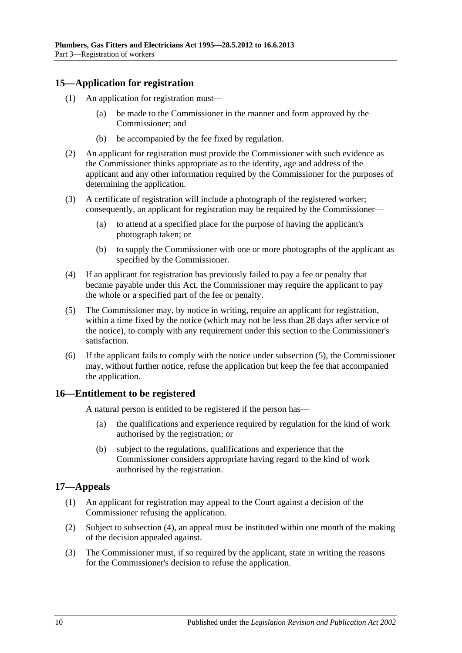## <span id="page-9-0"></span>**15—Application for registration**

- (1) An application for registration must—
	- (a) be made to the Commissioner in the manner and form approved by the Commissioner; and
	- (b) be accompanied by the fee fixed by regulation.
- (2) An applicant for registration must provide the Commissioner with such evidence as the Commissioner thinks appropriate as to the identity, age and address of the applicant and any other information required by the Commissioner for the purposes of determining the application.
- (3) A certificate of registration will include a photograph of the registered worker; consequently, an applicant for registration may be required by the Commissioner—
	- (a) to attend at a specified place for the purpose of having the applicant's photograph taken; or
	- (b) to supply the Commissioner with one or more photographs of the applicant as specified by the Commissioner.
- (4) If an applicant for registration has previously failed to pay a fee or penalty that became payable under this Act, the Commissioner may require the applicant to pay the whole or a specified part of the fee or penalty.
- <span id="page-9-3"></span>(5) The Commissioner may, by notice in writing, require an applicant for registration, within a time fixed by the notice (which may not be less than 28 days after service of the notice), to comply with any requirement under this section to the Commissioner's satisfaction.
- (6) If the applicant fails to comply with the notice under [subsection](#page-9-3) (5), the Commissioner may, without further notice, refuse the application but keep the fee that accompanied the application.

#### <span id="page-9-1"></span>**16—Entitlement to be registered**

A natural person is entitled to be registered if the person has—

- (a) the qualifications and experience required by regulation for the kind of work authorised by the registration; or
- (b) subject to the regulations, qualifications and experience that the Commissioner considers appropriate having regard to the kind of work authorised by the registration.

#### <span id="page-9-2"></span>**17—Appeals**

- (1) An applicant for registration may appeal to the Court against a decision of the Commissioner refusing the application.
- (2) Subject to [subsection](#page-10-2) (4), an appeal must be instituted within one month of the making of the decision appealed against.
- (3) The Commissioner must, if so required by the applicant, state in writing the reasons for the Commissioner's decision to refuse the application.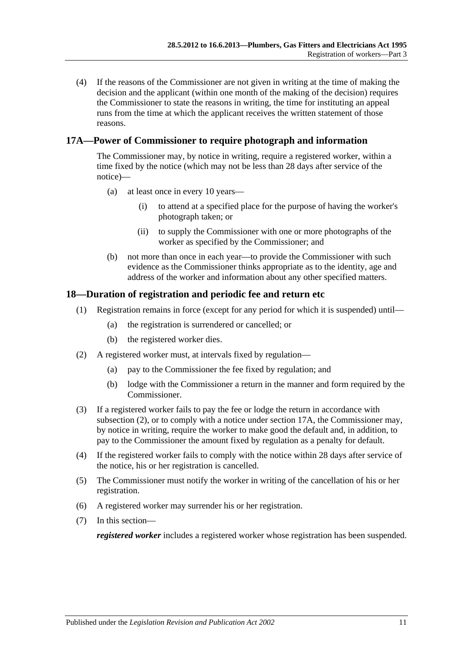<span id="page-10-2"></span>(4) If the reasons of the Commissioner are not given in writing at the time of making the decision and the applicant (within one month of the making of the decision) requires the Commissioner to state the reasons in writing, the time for instituting an appeal runs from the time at which the applicant receives the written statement of those reasons.

### <span id="page-10-0"></span>**17A—Power of Commissioner to require photograph and information**

The Commissioner may, by notice in writing, require a registered worker, within a time fixed by the notice (which may not be less than 28 days after service of the notice)—

- (a) at least once in every 10 years—
	- (i) to attend at a specified place for the purpose of having the worker's photograph taken; or
	- (ii) to supply the Commissioner with one or more photographs of the worker as specified by the Commissioner; and
- (b) not more than once in each year—to provide the Commissioner with such evidence as the Commissioner thinks appropriate as to the identity, age and address of the worker and information about any other specified matters.

#### <span id="page-10-1"></span>**18—Duration of registration and periodic fee and return etc**

- (1) Registration remains in force (except for any period for which it is suspended) until—
	- (a) the registration is surrendered or cancelled; or
	- (b) the registered worker dies.
- <span id="page-10-3"></span>(2) A registered worker must, at intervals fixed by regulation—
	- (a) pay to the Commissioner the fee fixed by regulation; and
	- (b) lodge with the Commissioner a return in the manner and form required by the Commissioner.
- (3) If a registered worker fails to pay the fee or lodge the return in accordance with [subsection](#page-10-3) (2), or to comply with a notice under [section](#page-10-0) 17A, the Commissioner may, by notice in writing, require the worker to make good the default and, in addition, to pay to the Commissioner the amount fixed by regulation as a penalty for default.
- (4) If the registered worker fails to comply with the notice within 28 days after service of the notice, his or her registration is cancelled.
- (5) The Commissioner must notify the worker in writing of the cancellation of his or her registration.
- (6) A registered worker may surrender his or her registration.
- (7) In this section—

*registered worker* includes a registered worker whose registration has been suspended.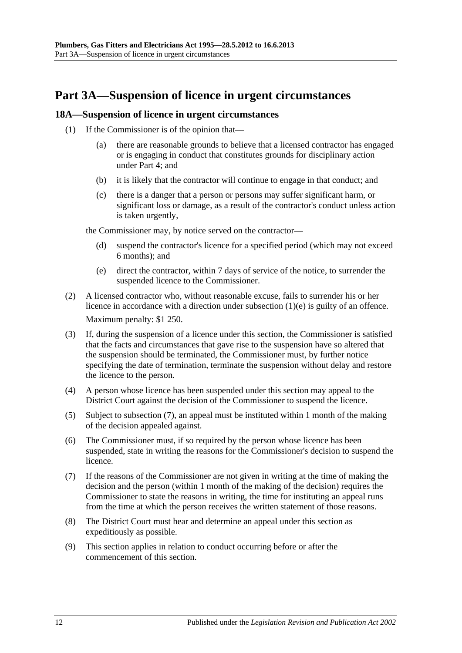# <span id="page-11-0"></span>**Part 3A—Suspension of licence in urgent circumstances**

#### <span id="page-11-1"></span>**18A—Suspension of licence in urgent circumstances**

- (1) If the Commissioner is of the opinion that—
	- (a) there are reasonable grounds to believe that a licensed contractor has engaged or is engaging in conduct that constitutes grounds for disciplinary action under [Part 4;](#page-12-0) and
	- (b) it is likely that the contractor will continue to engage in that conduct; and
	- (c) there is a danger that a person or persons may suffer significant harm, or significant loss or damage, as a result of the contractor's conduct unless action is taken urgently,

the Commissioner may, by notice served on the contractor—

- (d) suspend the contractor's licence for a specified period (which may not exceed 6 months); and
- (e) direct the contractor, within 7 days of service of the notice, to surrender the suspended licence to the Commissioner.
- <span id="page-11-2"></span>(2) A licensed contractor who, without reasonable excuse, fails to surrender his or her licence in accordance with a direction under [subsection](#page-11-2) (1)(e) is guilty of an offence. Maximum penalty: \$1 250.
- (3) If, during the suspension of a licence under this section, the Commissioner is satisfied that the facts and circumstances that gave rise to the suspension have so altered that the suspension should be terminated, the Commissioner must, by further notice specifying the date of termination, terminate the suspension without delay and restore the licence to the person.
- (4) A person whose licence has been suspended under this section may appeal to the District Court against the decision of the Commissioner to suspend the licence.
- (5) Subject to [subsection](#page-11-3) (7), an appeal must be instituted within 1 month of the making of the decision appealed against.
- (6) The Commissioner must, if so required by the person whose licence has been suspended, state in writing the reasons for the Commissioner's decision to suspend the licence.
- <span id="page-11-3"></span>(7) If the reasons of the Commissioner are not given in writing at the time of making the decision and the person (within 1 month of the making of the decision) requires the Commissioner to state the reasons in writing, the time for instituting an appeal runs from the time at which the person receives the written statement of those reasons.
- (8) The District Court must hear and determine an appeal under this section as expeditiously as possible.
- (9) This section applies in relation to conduct occurring before or after the commencement of this section.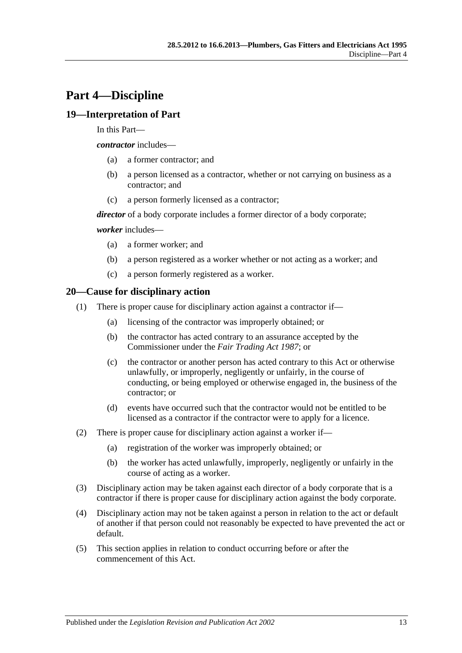# <span id="page-12-0"></span>**Part 4—Discipline**

## <span id="page-12-1"></span>**19—Interpretation of Part**

In this Part—

*contractor* includes—

- (a) a former contractor; and
- (b) a person licensed as a contractor, whether or not carrying on business as a contractor; and
- (c) a person formerly licensed as a contractor;

*director* of a body corporate includes a former director of a body corporate;

#### *worker* includes—

- (a) a former worker; and
- (b) a person registered as a worker whether or not acting as a worker; and
- (c) a person formerly registered as a worker.

#### <span id="page-12-2"></span>**20—Cause for disciplinary action**

- (1) There is proper cause for disciplinary action against a contractor if—
	- (a) licensing of the contractor was improperly obtained; or
	- (b) the contractor has acted contrary to an assurance accepted by the Commissioner under the *[Fair Trading Act](http://www.legislation.sa.gov.au/index.aspx?action=legref&type=act&legtitle=Fair%20Trading%20Act%201987) 1987*; or
	- (c) the contractor or another person has acted contrary to this Act or otherwise unlawfully, or improperly, negligently or unfairly, in the course of conducting, or being employed or otherwise engaged in, the business of the contractor; or
	- (d) events have occurred such that the contractor would not be entitled to be licensed as a contractor if the contractor were to apply for a licence.
- (2) There is proper cause for disciplinary action against a worker if—
	- (a) registration of the worker was improperly obtained; or
	- (b) the worker has acted unlawfully, improperly, negligently or unfairly in the course of acting as a worker.
- (3) Disciplinary action may be taken against each director of a body corporate that is a contractor if there is proper cause for disciplinary action against the body corporate.
- (4) Disciplinary action may not be taken against a person in relation to the act or default of another if that person could not reasonably be expected to have prevented the act or default.
- (5) This section applies in relation to conduct occurring before or after the commencement of this Act.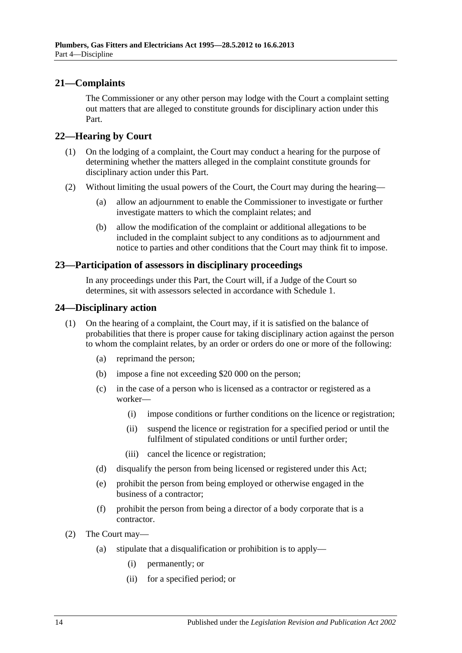### <span id="page-13-0"></span>**21—Complaints**

The Commissioner or any other person may lodge with the Court a complaint setting out matters that are alleged to constitute grounds for disciplinary action under this Part.

#### <span id="page-13-1"></span>**22—Hearing by Court**

- (1) On the lodging of a complaint, the Court may conduct a hearing for the purpose of determining whether the matters alleged in the complaint constitute grounds for disciplinary action under this Part.
- (2) Without limiting the usual powers of the Court, the Court may during the hearing—
	- (a) allow an adjournment to enable the Commissioner to investigate or further investigate matters to which the complaint relates; and
	- (b) allow the modification of the complaint or additional allegations to be included in the complaint subject to any conditions as to adjournment and notice to parties and other conditions that the Court may think fit to impose.

#### <span id="page-13-2"></span>**23—Participation of assessors in disciplinary proceedings**

In any proceedings under this Part, the Court will, if a Judge of the Court so determines, sit with assessors selected in accordance with [Schedule](#page-19-2) 1.

#### <span id="page-13-3"></span>**24—Disciplinary action**

- (1) On the hearing of a complaint, the Court may, if it is satisfied on the balance of probabilities that there is proper cause for taking disciplinary action against the person to whom the complaint relates, by an order or orders do one or more of the following:
	- (a) reprimand the person;
	- (b) impose a fine not exceeding \$20 000 on the person;
	- (c) in the case of a person who is licensed as a contractor or registered as a worker—
		- (i) impose conditions or further conditions on the licence or registration;
		- (ii) suspend the licence or registration for a specified period or until the fulfilment of stipulated conditions or until further order;
		- (iii) cancel the licence or registration;
	- (d) disqualify the person from being licensed or registered under this Act;
	- (e) prohibit the person from being employed or otherwise engaged in the business of a contractor;
	- (f) prohibit the person from being a director of a body corporate that is a contractor.
- (2) The Court may—
	- (a) stipulate that a disqualification or prohibition is to apply—
		- (i) permanently; or
		- (ii) for a specified period; or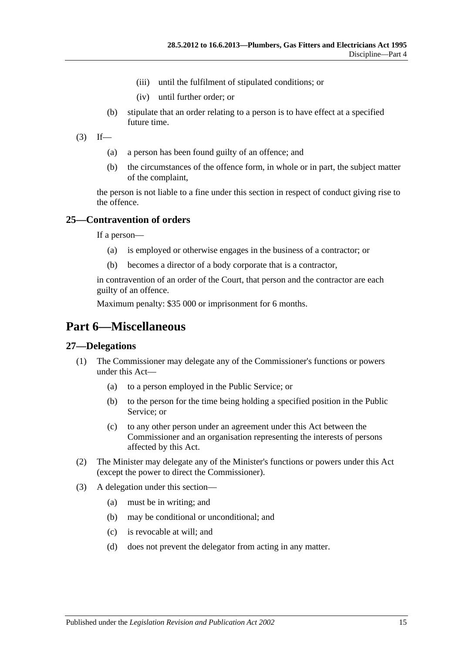- (iii) until the fulfilment of stipulated conditions; or
- (iv) until further order; or
- (b) stipulate that an order relating to a person is to have effect at a specified future time.
- $(3)$  If—
	- (a) a person has been found guilty of an offence; and
	- (b) the circumstances of the offence form, in whole or in part, the subject matter of the complaint,

the person is not liable to a fine under this section in respect of conduct giving rise to the offence.

#### <span id="page-14-0"></span>**25—Contravention of orders**

If a person—

- (a) is employed or otherwise engages in the business of a contractor; or
- (b) becomes a director of a body corporate that is a contractor,

in contravention of an order of the Court, that person and the contractor are each guilty of an offence.

Maximum penalty: \$35 000 or imprisonment for 6 months.

## <span id="page-14-1"></span>**Part 6—Miscellaneous**

#### <span id="page-14-2"></span>**27—Delegations**

- (1) The Commissioner may delegate any of the Commissioner's functions or powers under this Act—
	- (a) to a person employed in the Public Service; or
	- (b) to the person for the time being holding a specified position in the Public Service; or
	- (c) to any other person under an agreement under this Act between the Commissioner and an organisation representing the interests of persons affected by this Act.
- (2) The Minister may delegate any of the Minister's functions or powers under this Act (except the power to direct the Commissioner).
- (3) A delegation under this section—
	- (a) must be in writing; and
	- (b) may be conditional or unconditional; and
	- (c) is revocable at will; and
	- (d) does not prevent the delegator from acting in any matter.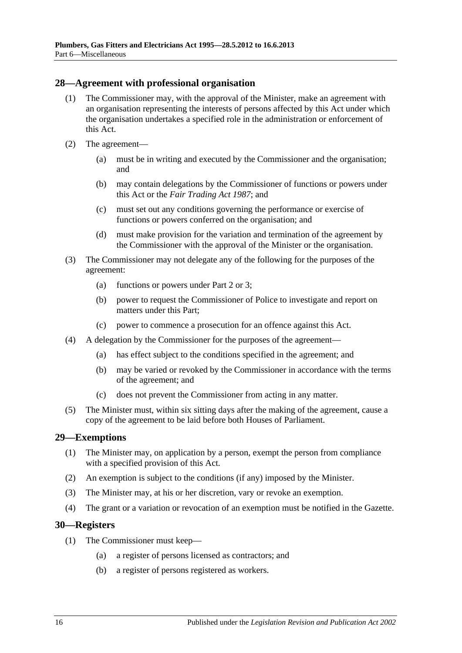#### <span id="page-15-0"></span>**28—Agreement with professional organisation**

- (1) The Commissioner may, with the approval of the Minister, make an agreement with an organisation representing the interests of persons affected by this Act under which the organisation undertakes a specified role in the administration or enforcement of this Act.
- (2) The agreement—
	- (a) must be in writing and executed by the Commissioner and the organisation; and
	- (b) may contain delegations by the Commissioner of functions or powers under this Act or the *[Fair Trading Act](http://www.legislation.sa.gov.au/index.aspx?action=legref&type=act&legtitle=Fair%20Trading%20Act%201987) 1987*; and
	- (c) must set out any conditions governing the performance or exercise of functions or powers conferred on the organisation; and
	- (d) must make provision for the variation and termination of the agreement by the Commissioner with the approval of the Minister or the organisation.
- (3) The Commissioner may not delegate any of the following for the purposes of the agreement:
	- (a) functions or powers under [Part 2](#page-3-2) or [3;](#page-8-0)
	- (b) power to request the Commissioner of Police to investigate and report on matters under this Part;
	- (c) power to commence a prosecution for an offence against this Act.
- (4) A delegation by the Commissioner for the purposes of the agreement—
	- (a) has effect subject to the conditions specified in the agreement; and
	- (b) may be varied or revoked by the Commissioner in accordance with the terms of the agreement; and
	- (c) does not prevent the Commissioner from acting in any matter.
- (5) The Minister must, within six sitting days after the making of the agreement, cause a copy of the agreement to be laid before both Houses of Parliament.

#### <span id="page-15-1"></span>**29—Exemptions**

- (1) The Minister may, on application by a person, exempt the person from compliance with a specified provision of this Act.
- (2) An exemption is subject to the conditions (if any) imposed by the Minister.
- (3) The Minister may, at his or her discretion, vary or revoke an exemption.
- (4) The grant or a variation or revocation of an exemption must be notified in the Gazette.

#### <span id="page-15-2"></span>**30—Registers**

- (1) The Commissioner must keep—
	- (a) a register of persons licensed as contractors; and
	- (b) a register of persons registered as workers.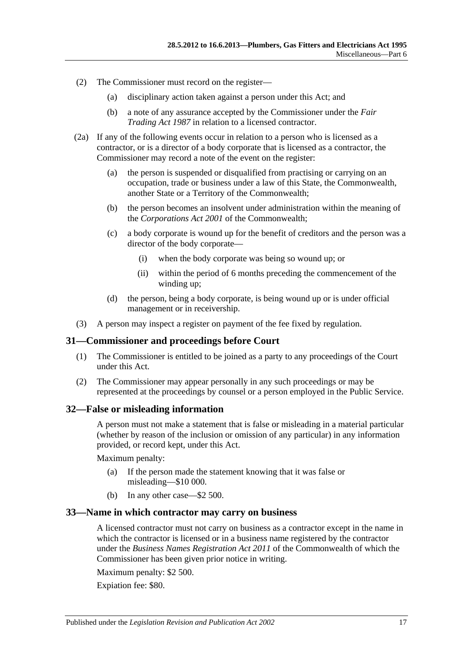- (2) The Commissioner must record on the register—
	- (a) disciplinary action taken against a person under this Act; and
	- (b) a note of any assurance accepted by the Commissioner under the *[Fair](http://www.legislation.sa.gov.au/index.aspx?action=legref&type=act&legtitle=Fair%20Trading%20Act%201987)  [Trading Act](http://www.legislation.sa.gov.au/index.aspx?action=legref&type=act&legtitle=Fair%20Trading%20Act%201987) 1987* in relation to a licensed contractor.
- (2a) If any of the following events occur in relation to a person who is licensed as a contractor, or is a director of a body corporate that is licensed as a contractor, the Commissioner may record a note of the event on the register:
	- (a) the person is suspended or disqualified from practising or carrying on an occupation, trade or business under a law of this State, the Commonwealth, another State or a Territory of the Commonwealth;
	- (b) the person becomes an insolvent under administration within the meaning of the *Corporations Act 2001* of the Commonwealth;
	- (c) a body corporate is wound up for the benefit of creditors and the person was a director of the body corporate—
		- (i) when the body corporate was being so wound up; or
		- (ii) within the period of 6 months preceding the commencement of the winding up;
	- (d) the person, being a body corporate, is being wound up or is under official management or in receivership.
- (3) A person may inspect a register on payment of the fee fixed by regulation.

## <span id="page-16-0"></span>**31—Commissioner and proceedings before Court**

- (1) The Commissioner is entitled to be joined as a party to any proceedings of the Court under this Act.
- (2) The Commissioner may appear personally in any such proceedings or may be represented at the proceedings by counsel or a person employed in the Public Service.

#### <span id="page-16-1"></span>**32—False or misleading information**

A person must not make a statement that is false or misleading in a material particular (whether by reason of the inclusion or omission of any particular) in any information provided, or record kept, under this Act.

Maximum penalty:

- (a) If the person made the statement knowing that it was false or misleading—\$10 000.
- (b) In any other case—\$2 500.

#### <span id="page-16-2"></span>**33—Name in which contractor may carry on business**

A licensed contractor must not carry on business as a contractor except in the name in which the contractor is licensed or in a business name registered by the contractor under the *Business Names Registration Act 2011* of the Commonwealth of which the Commissioner has been given prior notice in writing.

Maximum penalty: \$2 500.

Expiation fee: \$80.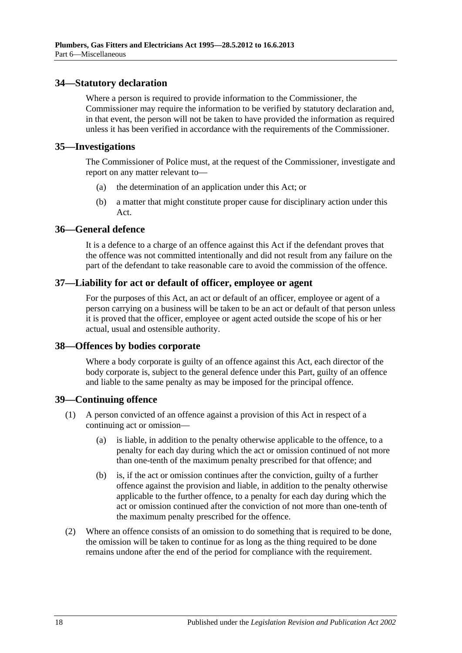#### <span id="page-17-0"></span>**34—Statutory declaration**

Where a person is required to provide information to the Commissioner, the Commissioner may require the information to be verified by statutory declaration and, in that event, the person will not be taken to have provided the information as required unless it has been verified in accordance with the requirements of the Commissioner.

#### <span id="page-17-1"></span>**35—Investigations**

The Commissioner of Police must, at the request of the Commissioner, investigate and report on any matter relevant to—

- (a) the determination of an application under this Act; or
- (b) a matter that might constitute proper cause for disciplinary action under this Act.

#### <span id="page-17-2"></span>**36—General defence**

It is a defence to a charge of an offence against this Act if the defendant proves that the offence was not committed intentionally and did not result from any failure on the part of the defendant to take reasonable care to avoid the commission of the offence.

#### <span id="page-17-3"></span>**37—Liability for act or default of officer, employee or agent**

For the purposes of this Act, an act or default of an officer, employee or agent of a person carrying on a business will be taken to be an act or default of that person unless it is proved that the officer, employee or agent acted outside the scope of his or her actual, usual and ostensible authority.

#### <span id="page-17-4"></span>**38—Offences by bodies corporate**

Where a body corporate is guilty of an offence against this Act, each director of the body corporate is, subject to the general defence under this Part, guilty of an offence and liable to the same penalty as may be imposed for the principal offence.

#### <span id="page-17-5"></span>**39—Continuing offence**

- (1) A person convicted of an offence against a provision of this Act in respect of a continuing act or omission—
	- (a) is liable, in addition to the penalty otherwise applicable to the offence, to a penalty for each day during which the act or omission continued of not more than one-tenth of the maximum penalty prescribed for that offence; and
	- (b) is, if the act or omission continues after the conviction, guilty of a further offence against the provision and liable, in addition to the penalty otherwise applicable to the further offence, to a penalty for each day during which the act or omission continued after the conviction of not more than one-tenth of the maximum penalty prescribed for the offence.
- (2) Where an offence consists of an omission to do something that is required to be done, the omission will be taken to continue for as long as the thing required to be done remains undone after the end of the period for compliance with the requirement.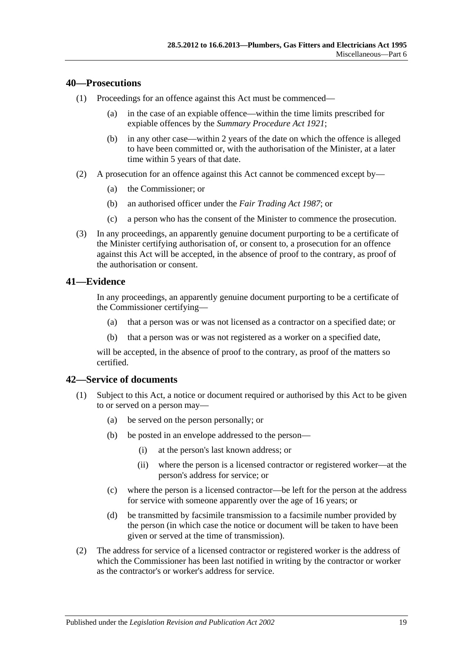#### <span id="page-18-0"></span>**40—Prosecutions**

- (1) Proceedings for an offence against this Act must be commenced—
	- (a) in the case of an expiable offence—within the time limits prescribed for expiable offences by the *[Summary Procedure Act](http://www.legislation.sa.gov.au/index.aspx?action=legref&type=act&legtitle=Summary%20Procedure%20Act%201921) 1921*;
	- (b) in any other case—within 2 years of the date on which the offence is alleged to have been committed or, with the authorisation of the Minister, at a later time within 5 years of that date.
- (2) A prosecution for an offence against this Act cannot be commenced except by—
	- (a) the Commissioner; or
	- (b) an authorised officer under the *[Fair Trading Act](http://www.legislation.sa.gov.au/index.aspx?action=legref&type=act&legtitle=Fair%20Trading%20Act%201987) 1987*; or
	- (c) a person who has the consent of the Minister to commence the prosecution.
- (3) In any proceedings, an apparently genuine document purporting to be a certificate of the Minister certifying authorisation of, or consent to, a prosecution for an offence against this Act will be accepted, in the absence of proof to the contrary, as proof of the authorisation or consent.

#### <span id="page-18-1"></span>**41—Evidence**

In any proceedings, an apparently genuine document purporting to be a certificate of the Commissioner certifying—

- (a) that a person was or was not licensed as a contractor on a specified date; or
- (b) that a person was or was not registered as a worker on a specified date,

will be accepted, in the absence of proof to the contrary, as proof of the matters so certified.

## <span id="page-18-2"></span>**42—Service of documents**

- (1) Subject to this Act, a notice or document required or authorised by this Act to be given to or served on a person may—
	- (a) be served on the person personally; or
	- (b) be posted in an envelope addressed to the person—
		- (i) at the person's last known address; or
		- (ii) where the person is a licensed contractor or registered worker—at the person's address for service; or
	- (c) where the person is a licensed contractor—be left for the person at the address for service with someone apparently over the age of 16 years; or
	- (d) be transmitted by facsimile transmission to a facsimile number provided by the person (in which case the notice or document will be taken to have been given or served at the time of transmission).
- (2) The address for service of a licensed contractor or registered worker is the address of which the Commissioner has been last notified in writing by the contractor or worker as the contractor's or worker's address for service.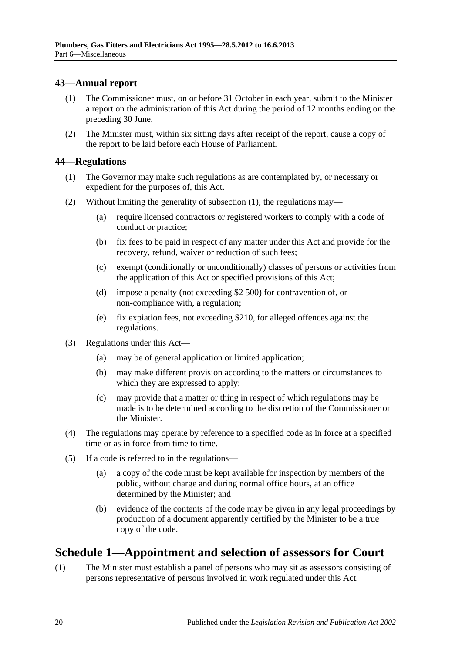## <span id="page-19-0"></span>**43—Annual report**

- (1) The Commissioner must, on or before 31 October in each year, submit to the Minister a report on the administration of this Act during the period of 12 months ending on the preceding 30 June.
- (2) The Minister must, within six sitting days after receipt of the report, cause a copy of the report to be laid before each House of Parliament.

#### <span id="page-19-3"></span><span id="page-19-1"></span>**44—Regulations**

- (1) The Governor may make such regulations as are contemplated by, or necessary or expedient for the purposes of, this Act.
- (2) Without limiting the generality of [subsection](#page-19-3) (1), the regulations may—
	- (a) require licensed contractors or registered workers to comply with a code of conduct or practice;
	- (b) fix fees to be paid in respect of any matter under this Act and provide for the recovery, refund, waiver or reduction of such fees;
	- (c) exempt (conditionally or unconditionally) classes of persons or activities from the application of this Act or specified provisions of this Act;
	- (d) impose a penalty (not exceeding \$2 500) for contravention of, or non-compliance with, a regulation;
	- (e) fix expiation fees, not exceeding \$210, for alleged offences against the regulations.
- (3) Regulations under this Act—
	- (a) may be of general application or limited application;
	- (b) may make different provision according to the matters or circumstances to which they are expressed to apply;
	- (c) may provide that a matter or thing in respect of which regulations may be made is to be determined according to the discretion of the Commissioner or the Minister.
- (4) The regulations may operate by reference to a specified code as in force at a specified time or as in force from time to time.
- (5) If a code is referred to in the regulations—
	- (a) a copy of the code must be kept available for inspection by members of the public, without charge and during normal office hours, at an office determined by the Minister; and
	- (b) evidence of the contents of the code may be given in any legal proceedings by production of a document apparently certified by the Minister to be a true copy of the code.

# <span id="page-19-2"></span>**Schedule 1—Appointment and selection of assessors for Court**

<span id="page-19-4"></span>(1) The Minister must establish a panel of persons who may sit as assessors consisting of persons representative of persons involved in work regulated under this Act.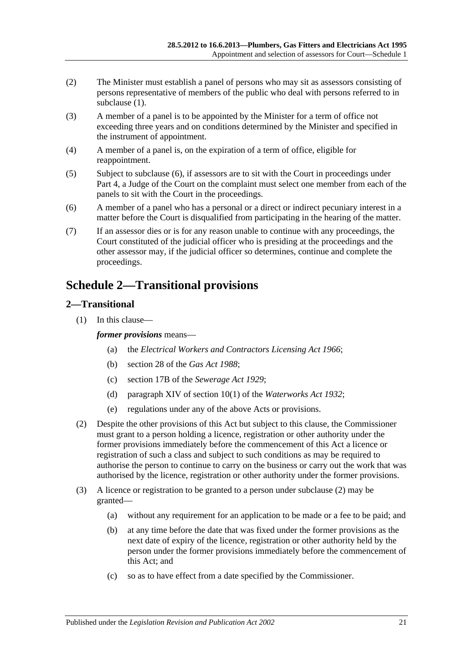- (2) The Minister must establish a panel of persons who may sit as assessors consisting of persons representative of members of the public who deal with persons referred to in [subclause](#page-19-4) (1).
- (3) A member of a panel is to be appointed by the Minister for a term of office not exceeding three years and on conditions determined by the Minister and specified in the instrument of appointment.
- (4) A member of a panel is, on the expiration of a term of office, eligible for reappointment.
- (5) Subject to [subclause](#page-20-2) (6), if assessors are to sit with the Court in proceedings under [Part 4,](#page-12-0) a Judge of the Court on the complaint must select one member from each of the panels to sit with the Court in the proceedings.
- <span id="page-20-2"></span>(6) A member of a panel who has a personal or a direct or indirect pecuniary interest in a matter before the Court is disqualified from participating in the hearing of the matter.
- (7) If an assessor dies or is for any reason unable to continue with any proceedings, the Court constituted of the judicial officer who is presiding at the proceedings and the other assessor may, if the judicial officer so determines, continue and complete the proceedings.

# <span id="page-20-0"></span>**Schedule 2—Transitional provisions**

## <span id="page-20-1"></span>**2—Transitional**

(1) In this clause—

#### *former provisions* means—

- (a) the *[Electrical Workers and Contractors Licensing Act](http://www.legislation.sa.gov.au/index.aspx?action=legref&type=act&legtitle=Electrical%20Workers%20and%20Contractors%20Licensing%20Act%201966) 1966*;
- (b) section 28 of the *[Gas Act](http://www.legislation.sa.gov.au/index.aspx?action=legref&type=act&legtitle=Gas%20Act%201988) 1988*;
- (c) section 17B of the *[Sewerage Act](http://www.legislation.sa.gov.au/index.aspx?action=legref&type=act&legtitle=Sewerage%20Act%201929) 1929*;
- (d) paragraph XIV of section 10(1) of the *[Waterworks Act](http://www.legislation.sa.gov.au/index.aspx?action=legref&type=act&legtitle=Waterworks%20Act%201932) 1932*;
- (e) regulations under any of the above Acts or provisions.
- <span id="page-20-3"></span>(2) Despite the other provisions of this Act but subject to this clause, the Commissioner must grant to a person holding a licence, registration or other authority under the former provisions immediately before the commencement of this Act a licence or registration of such a class and subject to such conditions as may be required to authorise the person to continue to carry on the business or carry out the work that was authorised by the licence, registration or other authority under the former provisions.
- (3) A licence or registration to be granted to a person under [subclause](#page-20-3) (2) may be granted—
	- (a) without any requirement for an application to be made or a fee to be paid; and
	- (b) at any time before the date that was fixed under the former provisions as the next date of expiry of the licence, registration or other authority held by the person under the former provisions immediately before the commencement of this Act; and
	- (c) so as to have effect from a date specified by the Commissioner.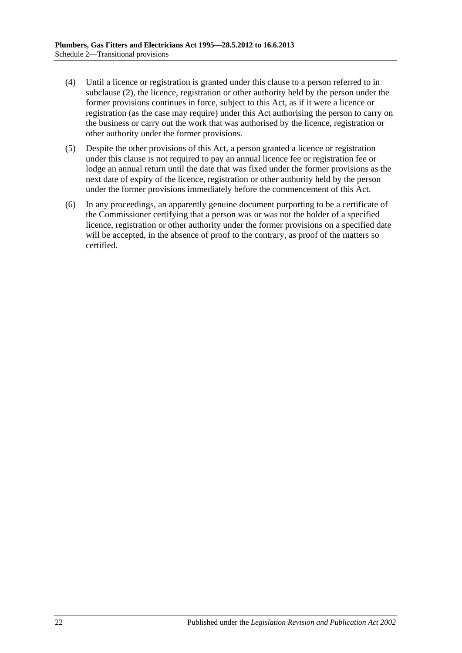- (4) Until a licence or registration is granted under this clause to a person referred to in [subclause](#page-20-3) (2), the licence, registration or other authority held by the person under the former provisions continues in force, subject to this Act, as if it were a licence or registration (as the case may require) under this Act authorising the person to carry on the business or carry out the work that was authorised by the licence, registration or other authority under the former provisions.
- (5) Despite the other provisions of this Act, a person granted a licence or registration under this clause is not required to pay an annual licence fee or registration fee or lodge an annual return until the date that was fixed under the former provisions as the next date of expiry of the licence, registration or other authority held by the person under the former provisions immediately before the commencement of this Act.
- (6) In any proceedings, an apparently genuine document purporting to be a certificate of the Commissioner certifying that a person was or was not the holder of a specified licence, registration or other authority under the former provisions on a specified date will be accepted, in the absence of proof to the contrary, as proof of the matters so certified.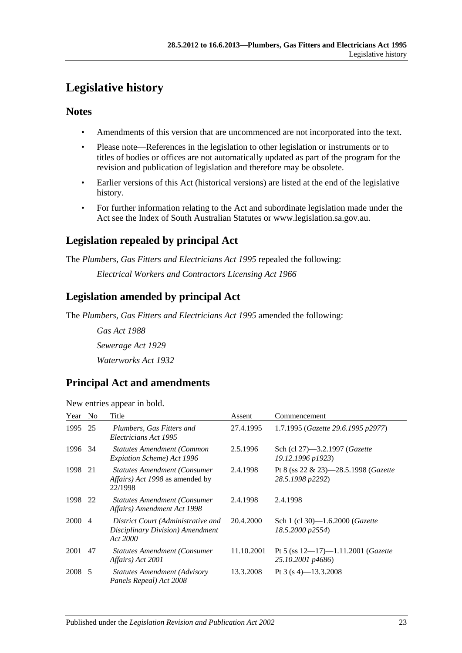# <span id="page-22-0"></span>**Legislative history**

## **Notes**

- Amendments of this version that are uncommenced are not incorporated into the text.
- Please note—References in the legislation to other legislation or instruments or to titles of bodies or offices are not automatically updated as part of the program for the revision and publication of legislation and therefore may be obsolete.
- Earlier versions of this Act (historical versions) are listed at the end of the legislative history.
- For further information relating to the Act and subordinate legislation made under the Act see the Index of South Australian Statutes or www.legislation.sa.gov.au.

# **Legislation repealed by principal Act**

The *Plumbers, Gas Fitters and Electricians Act 1995* repealed the following:

*Electrical Workers and Contractors Licensing Act 1966*

## **Legislation amended by principal Act**

The *Plumbers, Gas Fitters and Electricians Act 1995* amended the following:

*Gas Act 1988 Sewerage Act 1929 Waterworks Act 1932*

# **Principal Act and amendments**

New entries appear in bold.

| Year No |                | Title                                                                              | Assent     | Commencement                                                |
|---------|----------------|------------------------------------------------------------------------------------|------------|-------------------------------------------------------------|
| 1995 25 |                | Plumbers, Gas Fitters and<br>Electricians Act 1995                                 | 27.4.1995  | 1.7.1995 (Gazette 29.6.1995 p2977)                          |
| 1996 34 |                | <b>Statutes Amendment (Common</b><br>Expiation Scheme) Act 1996                    | 2.5.1996   | Sch (cl 27)-3.2.1997 (Gazette<br>19.12.1996 p1923)          |
| 1998    | 21             | <b>Statutes Amendment (Consumer)</b><br>Affairs) Act 1998 as amended by<br>22/1998 | 2.4.1998   | Pt 8 (ss 22 & 23)-28.5.1998 (Gazette<br>28.5.1998 p2292)    |
| 1998    | 22             | <b>Statutes Amendment (Consumer</b><br>Affairs) Amendment Act 1998                 | 2.4.1998   | 2.4.1998                                                    |
| 2000    | $\overline{4}$ | District Court (Administrative and<br>Disciplinary Division) Amendment<br>Act 2000 | 20.4.2000  | Sch 1 (cl 30)-1.6.2000 ( <i>Gazette</i><br>18.5.2000 p2554) |
| 2001    | 47             | <b>Statutes Amendment (Consumer)</b><br>Affairs) Act 2001                          | 11.10.2001 | Pt 5 (ss 12-17)-1.11.2001 (Gazette<br>25.10.2001 p4686)     |
| 2008 5  |                | <b>Statutes Amendment (Advisory</b><br>Panels Repeal) Act 2008                     | 13.3.2008  | Pt 3 (s 4)-13.3.2008                                        |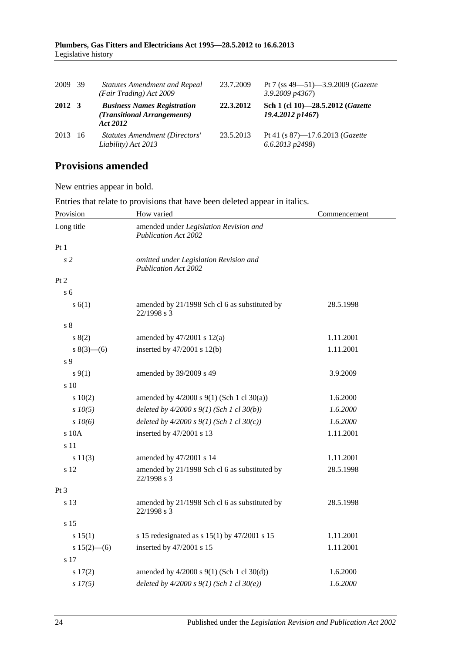| 2009   | -39 | <b>Statutes Amendment and Repeal</b><br>(Fair Trading) Act 2009               | 23.7.2009 | Pt 7 (ss $49 - 51$ ) $-3.9.2009$ ( <i>Gazette</i><br>$3.9.2009 \text{ p}4367$ |
|--------|-----|-------------------------------------------------------------------------------|-----------|-------------------------------------------------------------------------------|
| 2012 3 |     | <b>Business Names Registration</b><br>(Transitional Arrangements)<br>Act 2012 | 22.3.2012 | Sch 1 (cl 10)-28.5.2012 (Gazette<br>$19.4.2012$ p $1467$ )                    |
| 2013   | -16 | Statutes Amendment (Directors'<br>Liability) Act 2013                         | 23.5.2013 | Pt 41 (s $87$ )—17.6.2013 ( <i>Gazette</i><br>$(6.6.2013 \text{ p}2498)$      |

## **Provisions amended**

New entries appear in bold.

|                 | Linnes that relate to provisions that have been deleted appear in hanes. |              |
|-----------------|--------------------------------------------------------------------------|--------------|
| Provision       | How varied                                                               | Commencement |
| Long title      | amended under Legislation Revision and<br><b>Publication Act 2002</b>    |              |
| Pt1             |                                                                          |              |
| s <sub>2</sub>  | omitted under Legislation Revision and<br><b>Publication Act 2002</b>    |              |
| Pt 2            |                                                                          |              |
| s <sub>6</sub>  |                                                                          |              |
| s(6(1))         | amended by 21/1998 Sch cl 6 as substituted by<br>22/1998 s 3             | 28.5.1998    |
| s <sub>8</sub>  |                                                                          |              |
| 8(2)            | amended by $47/2001$ s $12(a)$                                           | 1.11.2001    |
| $8(3)$ – (6)    | inserted by $47/2001$ s $12(b)$                                          | 1.11.2001    |
| s 9             |                                                                          |              |
| $s \, 9(1)$     | amended by 39/2009 s 49                                                  | 3.9.2009     |
| s 10            |                                                                          |              |
| 10(2)           | amended by $4/2000$ s $9(1)$ (Sch 1 cl 30(a))                            | 1.6.2000     |
| $s$ $10(5)$     | deleted by $4/2000 s 9(1)$ (Sch 1 cl 30(b))                              | 1.6.2000     |
| $s$ 10(6)       | deleted by $4/2000 s 9(1)$ (Sch 1 cl 30(c))                              | 1.6.2000     |
| s 10A           | inserted by 47/2001 s 13                                                 | 1.11.2001    |
| s 11            |                                                                          |              |
| s 11(3)         | amended by 47/2001 s 14                                                  | 1.11.2001    |
| s 12            | amended by 21/1998 Sch cl 6 as substituted by<br>22/1998 s 3             | 28.5.1998    |
| Pt <sub>3</sub> |                                                                          |              |
| s 13            | amended by 21/1998 Sch cl 6 as substituted by<br>22/1998 s 3             | 28.5.1998    |
| s 15            |                                                                          |              |
| s 15(1)         | s 15 redesignated as s 15(1) by 47/2001 s 15                             | 1.11.2001    |
| $s 15(2)$ – (6) | inserted by 47/2001 s 15                                                 | 1.11.2001    |
| s 17            |                                                                          |              |
| s 17(2)         | amended by 4/2000 s 9(1) (Sch 1 cl 30(d))                                | 1.6.2000     |
| $s\,17(5)$      | deleted by $4/2000 s 9(1)$ (Sch 1 cl 30(e))                              | 1.6.2000     |

Entries that relate to provisions that have been deleted appear in italics.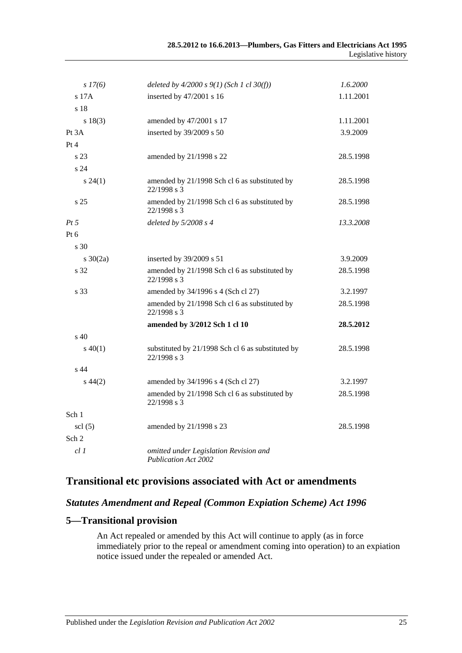| s 17(6)                     | deleted by $4/2000 s 9(1)$ (Sch 1 cl 30(f))                           | 1.6.2000  |
|-----------------------------|-----------------------------------------------------------------------|-----------|
| s 17A                       | inserted by 47/2001 s 16                                              | 1.11.2001 |
| s 18                        |                                                                       |           |
| s 18(3)                     | amended by 47/2001 s 17                                               | 1.11.2001 |
| Pt 3A                       | inserted by 39/2009 s 50                                              | 3.9.2009  |
| Pt 4                        |                                                                       |           |
| s 23                        | amended by 21/1998 s 22                                               | 28.5.1998 |
| s <sub>24</sub>             |                                                                       |           |
| $s\,24(1)$                  | amended by 21/1998 Sch cl 6 as substituted by<br>22/1998 s 3          | 28.5.1998 |
| s <sub>25</sub>             | amended by 21/1998 Sch cl 6 as substituted by<br>22/1998 s 3          | 28.5.1998 |
| Pt 5                        | deleted by $5/2008 s 4$                                               | 13.3.2008 |
| Pt 6                        |                                                                       |           |
| s 30                        |                                                                       |           |
| $s \ 30(2a)$                | inserted by 39/2009 s 51                                              | 3.9.2009  |
| s 32                        | amended by 21/1998 Sch cl 6 as substituted by<br>22/1998 s 3          | 28.5.1998 |
| s 33                        | amended by 34/1996 s 4 (Sch cl 27)                                    | 3.2.1997  |
|                             | amended by 21/1998 Sch cl 6 as substituted by<br>22/1998 s 3          | 28.5.1998 |
|                             | amended by 3/2012 Sch 1 cl 10                                         | 28.5.2012 |
| $s\,40$                     |                                                                       |           |
| $s\ 40(1)$                  | substituted by 21/1998 Sch cl 6 as substituted by<br>22/1998 s 3      | 28.5.1998 |
| s 44                        |                                                                       |           |
| $s\,44(2)$                  | amended by 34/1996 s 4 (Sch cl 27)                                    | 3.2.1997  |
|                             | amended by 21/1998 Sch cl 6 as substituted by<br>22/1998 s 3          | 28.5.1998 |
| Sch 1                       |                                                                       |           |
| $\text{ }$ scl $\text{(5)}$ | amended by 21/1998 s 23                                               | 28.5.1998 |
| Sch 2                       |                                                                       |           |
| cl 1                        | omitted under Legislation Revision and<br><b>Publication Act 2002</b> |           |

## **Transitional etc provisions associated with Act or amendments**

## *Statutes Amendment and Repeal (Common Expiation Scheme) Act 1996*

#### **5—Transitional provision**

An Act repealed or amended by this Act will continue to apply (as in force immediately prior to the repeal or amendment coming into operation) to an expiation notice issued under the repealed or amended Act.